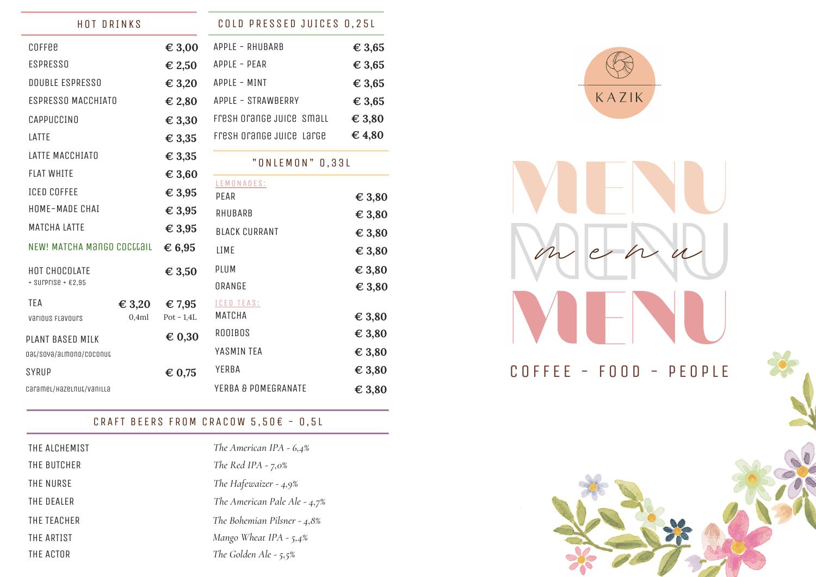| <b>HOT DRINKS</b>          |                 |                 | COLD PRESSED JUICES 0,25L |                 |
|----------------------------|-----------------|-----------------|---------------------------|-----------------|
| COFFEE                     |                 | $\epsilon$ 3,00 | APPLE - RHUBARB           | € 3,65          |
| <b>ESPRESSO</b>            |                 | $\epsilon$ 2,50 | APPLE - PEAR              | $\in$ 3,65      |
| <b>DOUBLE ESPRESSO</b>     |                 | $\epsilon$ 3,20 | APPLE - MINT              | $\in$ 3,65      |
| ESPRESSO MACCHIATO         |                 | € 2,80          | APPLE - STRAWBERRY        | $\in$ 3,65      |
| CAPPUCCINO                 |                 | $\epsilon$ 3,30 | Fresh orange Juice Small  | $\epsilon$ 3,80 |
| LATTE                      |                 | $\epsilon$ 3,35 | Fresh orange Juice Large  | $\epsilon$ 4,80 |
| LATTE MACCHIATO            |                 | $\epsilon$ 3,35 | "ONLEMON" 0,33L           |                 |
| <b>FLAT WHITE</b>          |                 | $\epsilon$ 3,60 |                           |                 |
| <b>ICED COFFEE</b>         |                 | $\epsilon$ 3,95 | LEMONADES:<br>PEAR        | $\epsilon$ 3,80 |
| HOME-MADE CHAI             |                 | $\epsilon$ 3,95 | RHUBARB                   | $\epsilon$ 3,80 |
| <b>MATCHA LATTE</b>        |                 | $\epsilon$ 3,95 | <b>BLACK CURRANT</b>      | $\epsilon$ 3,80 |
| NEW! MATCHA MANGO COCCCAIL |                 | $\epsilon$ 6,95 | LIME                      | $\epsilon$ 3,80 |
| HOT CHOCOLATE              |                 | € 3,50          | PLUM                      | $\epsilon$ 3,80 |
| $+$ SUPPFISE $+$ $E2,95$   |                 |                 | ORANGE                    | $\epsilon$ 3,80 |
| <b>TEA</b>                 | $\epsilon$ 3,20 | $\epsilon$ 7,95 | <b>ICED TEAS:</b>         |                 |
| various FLavours           | 0,4ml           | $Pot - 1,4L$    | MATCHA                    | $\epsilon$ 3,80 |
| PLANT BASED MILK           |                 | $\epsilon$ 0,30 | <b>ROOIBOS</b>            | $\epsilon$ 3,80 |
| 0at/sova/almond/coconut    |                 |                 | YASMIN TEA                | $\epsilon$ 3,80 |
| SYRUP                      |                 | $\epsilon$ 0,75 | YERBA                     | $\epsilon$ 3,80 |
| caramel/Hazelnut/vanilla   |                 |                 | YERBA & POMEGRANATE       | $\epsilon$ 3,80 |

# CRAFT BEERS FROM CRACOW  $5,50 \in -0,5L$

| THE ALCHEMIST | The American IPA - $6,4%$      |
|---------------|--------------------------------|
| THE BUTCHER   | The Red IPA $-7,0\%$           |
| THE NURSE     | The Hafewaizer - $4.9\%$       |
| THE DEALER    | The American Pale Ale - $4,7%$ |
| THE TEACHER   | The Bohemian Pilsner - $4.8\%$ |
| THE ARTIST    | Mango Wheat IPA - $5,4\%$      |
| THE ACTOR     | The Golden Ale - $5,5%$        |



**MENU MENU MENU**

COFFEE - FOOD - PEOPLE

 $m$  e  $n$